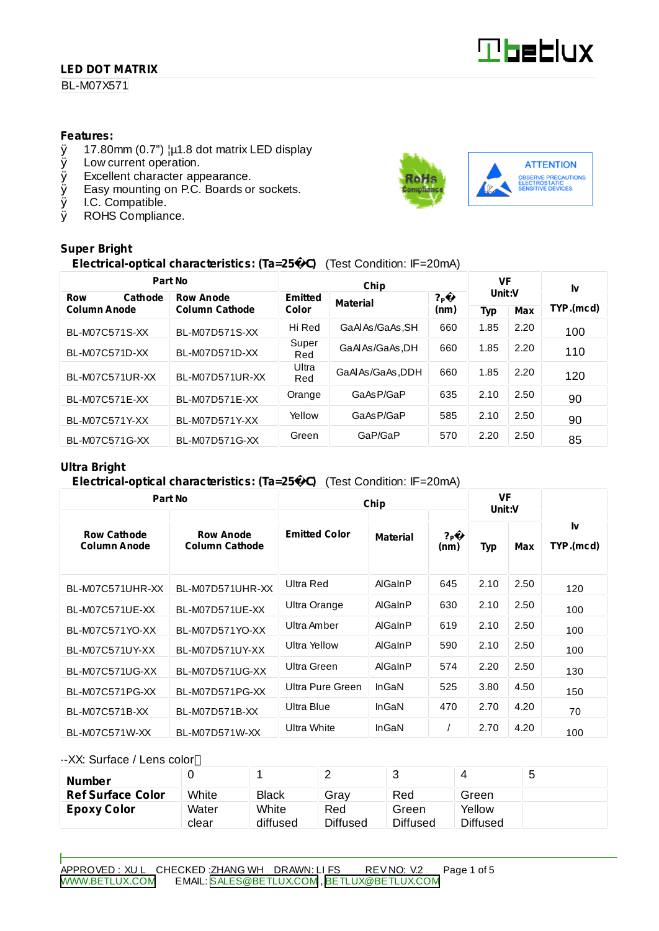### **LED DOT MATRIX**

BL-M07X571

#### **Features:**

- $\emptyset$  17.80mm (0.7")  $\mu$ 1.8 dot matrix LED display<br> $\emptyset$  Low current operation.
- Low current operation.
- Ø Excellent character appearance.
- Ø Easy mounting on P.C. Boards or sockets.
- Ø I.C. Compatible.
- Ø ROHS Compliance.

#### **Super Bright**

## **Electrical-optical characteristics: (Ta=25** C**)** (Test Condition: IF=20mA)

| Part No               |                       |              | VF              |                        | I٧     |            |           |  |
|-----------------------|-----------------------|--------------|-----------------|------------------------|--------|------------|-----------|--|
| <b>Row</b><br>Cathode | <b>Row Anode</b>      | Emitted      | <b>Material</b> | ? <sub>P</sub><br>(nm) | Unit:V |            |           |  |
| <b>Column Anode</b>   | <b>Column Cathode</b> |              | Color           |                        | Typ    | <b>Max</b> | TYP.(mcd) |  |
| BL-M07C571S-XX        | BL-M07D571S-XX        | Hi Red       | GaAlAs/GaAs, SH | 660                    | 1.85   | 2.20       | 100       |  |
| BL-M07C571D-XX        | BL-M07D571D-XX        | Super<br>Red | GaAlAs/GaAs.DH  | 660                    | 1.85   | 2.20       | 110       |  |
| BL-M07C571UR-XX       | BL-M07D571UR-XX       | Ultra<br>Red | GaAIAs/GaAs.DDH | 660                    | 1.85   | 2.20       | 120       |  |
| BL-M07C571E-XX        | BL-M07D571E-XX        | Orange       | GaAsP/GaP       | 635                    | 2.10   | 2.50       | 90        |  |
| BL-M07C571Y-XX        | BL-M07D571Y-XX        | Yellow       | GaAsP/GaP       | 585                    | 2.10   | 2.50       | 90        |  |
| BL-M07C571G-XX        | BL-M07D571G-XX        | Green        | GaP/GaP         | 570                    | 2.20   | 2.50       | 85        |  |

#### **Ultra Bright**

#### **Electrical-optical characteristics: (Ta=25** C**)** (Test Condition: IF=20mA)

| Part No                                   |                                           | Chip                 | <b>VF</b><br>Unit:V |                          |            |      |                 |  |
|-------------------------------------------|-------------------------------------------|----------------------|---------------------|--------------------------|------------|------|-----------------|--|
| <b>Row Cathode</b><br><b>Column Anode</b> | <b>Row Anode</b><br><b>Column Cathode</b> | <b>Emitted Color</b> | Material            | $?_{\mathsf{P}}$<br>(nm) | <b>Typ</b> | Max  | I٧<br>TYP.(mcd) |  |
| BL-M07C571UHR-XX                          | BL-M07D571UHR-XX                          | Ultra Red            | AlGaInP             | 645                      | 2.10       | 2.50 | 120             |  |
| BL-M07C571UE-XX                           | BL-M07D571UE-XX                           | Ultra Orange         | AlGaInP             | 630                      | 2.10       | 2.50 | 100             |  |
| BL-M07C571YO-XX                           | BL-M07D571YO-XX                           | Ultra Amber          | AlGaInP             | 619                      | 2.10       | 2.50 | 100             |  |
| BL-M07C571UY-XX                           | BL-M07D571UY-XX                           | Ultra Yellow         | AlGaInP             | 590                      | 2.10       | 2.50 | 100             |  |
| <b>BL-M07C571UG-XX</b>                    | BL-M07D571UG-XX                           | Ultra Green          | AlGaInP             | 574                      | 2.20       | 2.50 | 130             |  |
| BL-M07C571PG-XX                           | BL-M07D571PG-XX                           | Ultra Pure Green     | InGaN               | 525                      | 3.80       | 4.50 | 150             |  |
| BL-M07C571B-XX                            | BL-M07D571B-XX                            | Ultra Blue           | InGaN               | 470                      | 2.70       | 4.20 | 70              |  |
| BL-M07C571W-XX                            | BL-M07D571W-XX                            | Ultra White          | InGaN               |                          | 2.70       | 4.20 | 100             |  |

#### ·-XX: Surface / Lens color

| <b>Number</b>            |       |              | -               |                 |          | ັ |
|--------------------------|-------|--------------|-----------------|-----------------|----------|---|
| <b>Ref Surface Color</b> | White | <b>Black</b> | Grav            | Red             | Green    |   |
| <b>Epoxy Color</b>       | Water | White        | Red             | Green           | Yellow   |   |
|                          | clear | diffused     | <b>Diffused</b> | <b>Diffused</b> | Diffused |   |





**Tbeblux**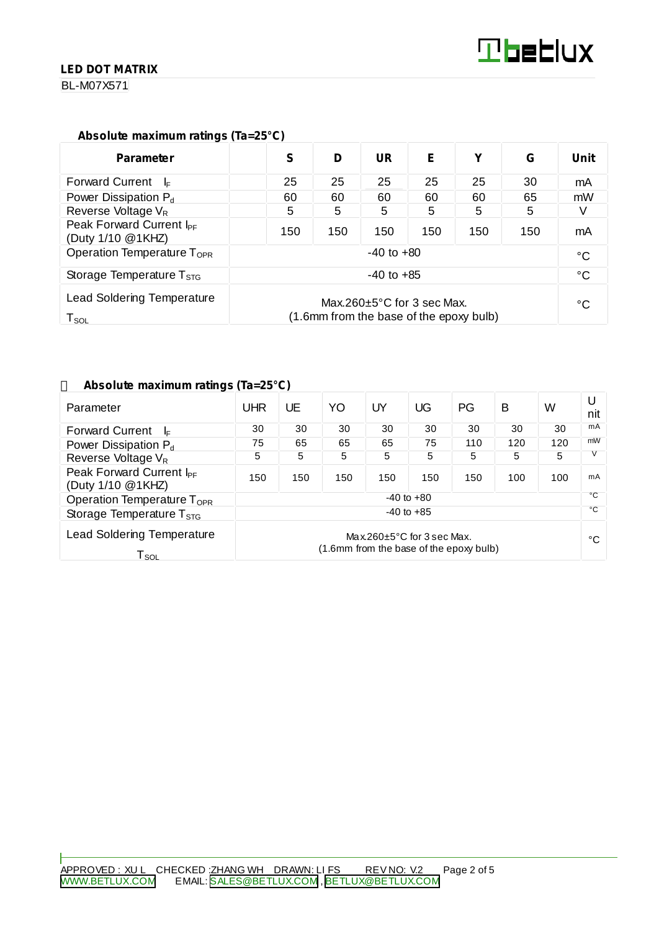#### **LED DOT MATRIX**

BL-M07X571

#### **Absolute maximum ratings (Ta=25°C)**

| <b>Parameter</b>                                                                                                                                | S              | D   | UR  | E   | v   | G   | Unit |
|-------------------------------------------------------------------------------------------------------------------------------------------------|----------------|-----|-----|-----|-----|-----|------|
| <b>Forward Current</b><br>– l⊧                                                                                                                  | 25             | 25  | 25  | 25  | 25  | 30  | mA   |
| Power Dissipation $P_d$                                                                                                                         | 60             | 60  | 60  | 60  | 60  | 65  | mW   |
| Reverse Voltage $V_R$                                                                                                                           | 5              | 5   | 5   | 5   | 5   | 5   |      |
| Peak Forward Current I <sub>PF</sub><br>(Duty 1/10 @1KHZ)                                                                                       | 150            | 150 | 150 | 150 | 150 | 150 | mA   |
| Operation Temperature T <sub>OPR</sub>                                                                                                          | $-40$ to $+80$ |     |     |     |     |     |      |
| Storage Temperature $T_{STG}$                                                                                                                   | $-40$ to $+85$ |     |     |     |     |     |      |
| <b>Lead Soldering Temperature</b><br>Max.260 $\pm$ 5°C for 3 sec Max.<br>(1.6mm from the base of the epoxy bulb)<br>$\mathsf{T}_{\mathsf{SOL}}$ |                |     |     |     | °C  |     |      |

#### **Absolute maximum ratings (Ta=25°C)**

| Parameter                                                        | UHR                                                                         | UE  | YO  | UY  | UG  | PG  | B   | W            | U<br>nit |
|------------------------------------------------------------------|-----------------------------------------------------------------------------|-----|-----|-----|-----|-----|-----|--------------|----------|
| <b>Forward Current</b><br>$\mathsf{I}$                           | 30                                                                          | 30  | 30  | 30  | 30  | 30  | 30  | 30           | mA       |
| Power Dissipation P <sub>d</sub>                                 | 75                                                                          | 65  | 65  | 65  | 75  | 110 | 120 | 120          | mW       |
| Reverse Voltage V <sub>R</sub>                                   | 5                                                                           | 5   | 5   | 5   | 5   | 5   | 5   | 5            |          |
| Peak Forward Current I <sub>PF</sub><br>(Duty 1/10 @1KHZ)        | 150                                                                         | 150 | 150 | 150 | 150 | 150 | 100 | 100          | mA       |
| Operation Temperature T <sub>OPR</sub>                           | $-40$ to $+80$                                                              |     |     |     |     |     |     | °C           |          |
| Storage Temperature $T_{\rm STG}$                                | $-40$ to $+85$                                                              |     |     |     |     |     |     | $^{\circ}$ C |          |
| <b>Lead Soldering Temperature</b><br>$\mathsf{T}_{\mathsf{SOL}}$ | Max.260 $\pm$ 5°C for 3 sec Max.<br>(1.6mm from the base of the epoxy bulb) |     |     |     |     |     |     | °C           |          |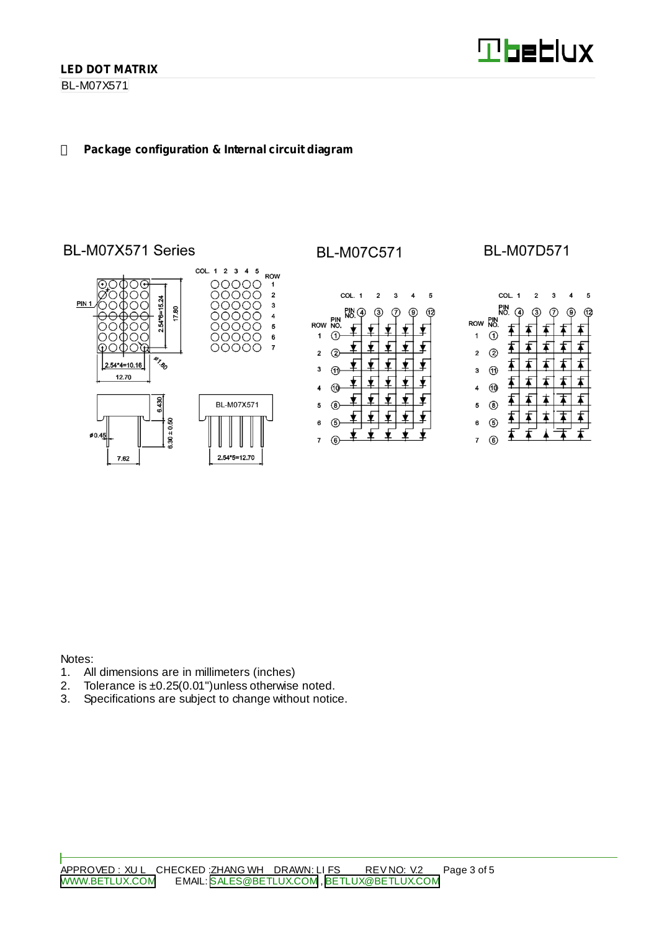BL-M07X571

#### **Package configuration & Internal circuit diagram**

# BL-M07X571 Series



# **BL-M07C571**



## **BL-M07D571**



Notes:

- 1. All dimensions are in millimeters (inches)<br>2. Tolerance is  $\pm 0.25(0.01)$  unless otherwise
- 2. Tolerance is  $\pm 0.25(0.01")$  unless otherwise noted.<br>3. Specifications are subject to change without notic
- Specifications are subject to change without notice.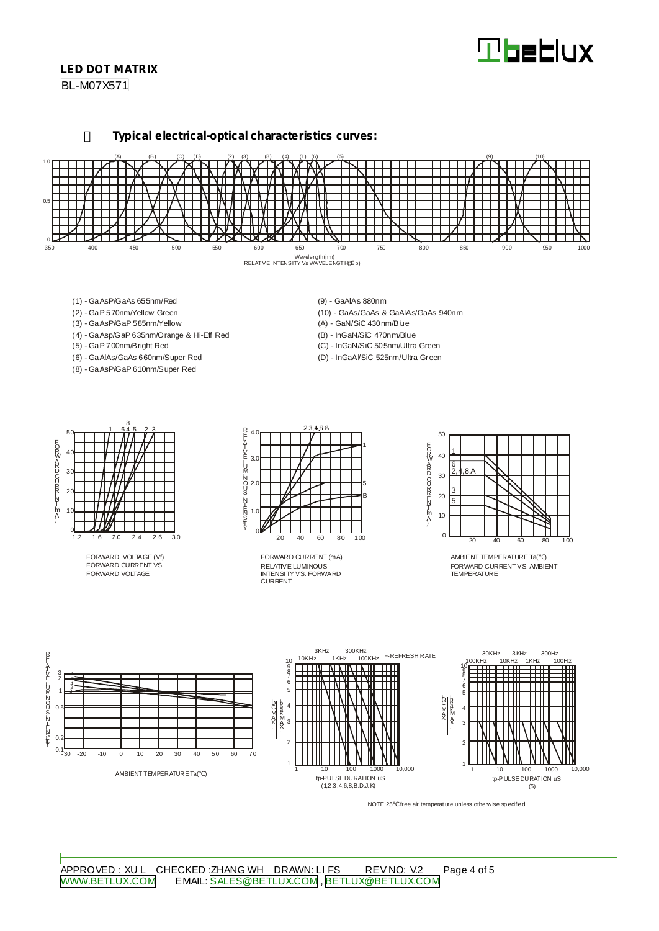# **Tbeblux**

#### **LED DOT MATRIX**

BL-M07X571

**Typical electrical-optical characteristics curves:**



- (1) GaAsP/GaAs 655nm/Red
- (2) GaP 570nm/Yellow Green
- (3) GaAsP/GaP 585nm/Yellow
- (4) GaAsp/GaP 635nm/Orange & Hi-Eff Red
- (5) GaP 700nm/Bright Red
- (6) GaAlAs/GaAs 660nm/Super Red (8) - GaAsP/GaP 610nm/Super Red
- (9) GaAlAs 880nm
- (10) GaAs/GaAs & GaAlAs/GaAs 940nm (A) - GaN/SiC 430nm/Blue
- (B) InGaN/SiC 470nm/Blue
- (C) InGaN/SiC 505nm/Ultra Green
- (D) InGaAl/SiC 525nm/Ultra Green



FORWARD VOLTAGE (Vf) FORWARD CURRENT VS. FORWARD VOLTAGE



RELATIVE LUMINOUS INTENSITY VS. FORWARD CURRENT FORWARD CURRENT (mA)



AMBIENT TEMPERATURE Ta( ) FORWARD CURRENTVS. AMBIENT TEMPER ATLIRE



NOTE:25 free air temperature unless otherwise specified